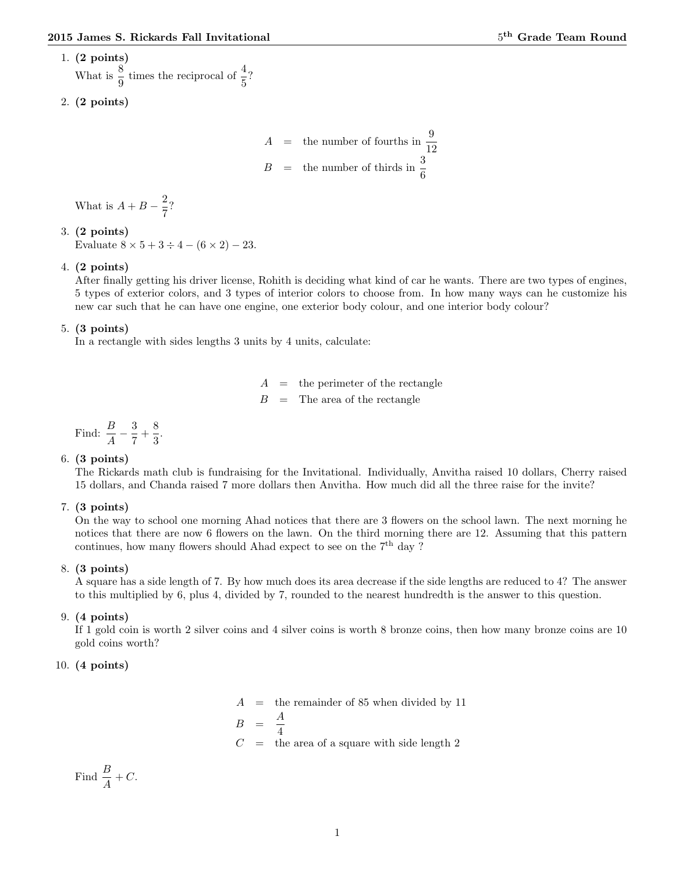# 1. (2 points)

What is  $\frac{8}{9}$  times the reciprocal of  $\frac{4}{5}$ ?

$$
2. (2 points)
$$

 $A =$  the number of fourths in  $\frac{9}{12}$  $B =$  the number of thirds in  $\frac{3}{6}$ 

What is  $A + B - \frac{2}{5}$  $\frac{2}{7}$ ?

# 3. (2 points)

Evaluate  $8 \times 5 + 3 \div 4 - (6 \times 2) - 23$ .

# 4. (2 points)

After finally getting his driver license, Rohith is deciding what kind of car he wants. There are two types of engines, 5 types of exterior colors, and 3 types of interior colors to choose from. In how many ways can he customize his new car such that he can have one engine, one exterior body colour, and one interior body colour?

## 5. (3 points)

In a rectangle with sides lengths 3 units by 4 units, calculate:

 $=$  the perimeter of the rectangle  $B =$ The area of the rectangle

Find:  $\frac{B}{A} - \frac{3}{7}$  $\frac{3}{7} + \frac{8}{3}$  $\frac{8}{3}$ .

## 6. (3 points)

The Rickards math club is fundraising for the Invitational. Individually, Anvitha raised 10 dollars, Cherry raised 15 dollars, and Chanda raised 7 more dollars then Anvitha. How much did all the three raise for the invite?

## 7. (3 points)

On the way to school one morning Ahad notices that there are 3 flowers on the school lawn. The next morning he notices that there are now 6 flowers on the lawn. On the third morning there are 12. Assuming that this pattern continues, how many flowers should Ahad expect to see on the  $7<sup>th</sup>$  day ?

## 8. (3 points)

A square has a side length of 7. By how much does its area decrease if the side lengths are reduced to 4? The answer to this multiplied by 6, plus 4, divided by 7, rounded to the nearest hundredth is the answer to this question.

# 9. (4 points)

If 1 gold coin is worth 2 silver coins and 4 silver coins is worth 8 bronze coins, then how many bronze coins are 10 gold coins worth?

# 10. (4 points)

 $A =$  the remainder of 85 when divided by 11  $B = \frac{A}{A}$ 4  $C =$  the area of a square with side length 2

Find  $\frac{B}{A} + C$ .